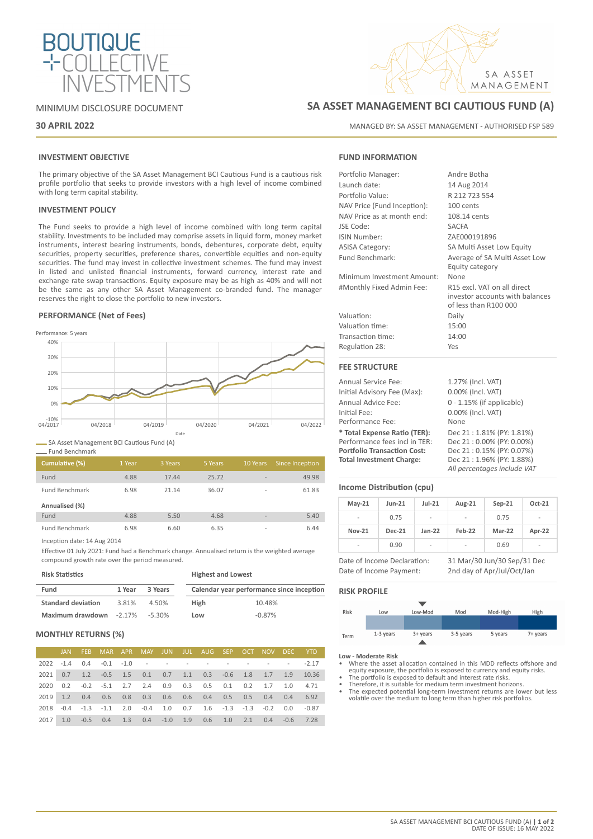

### MINIMUM DISCLOSURE DOCUMENT

### **30 APRIL 2022**

### **INVESTMENT OBJECTIVE**

The primary objective of the SA Asset Management BCI Cautious Fund is a cautious risk profile portfolio that seeks to provide investors with a high level of income combined with long term capital stability.

### **INVESTMENT POLICY**

The Fund seeks to provide a high level of income combined with long term capital stability. Investments to be included may comprise assets in liquid form, money market instruments, interest bearing instruments, bonds, debentures, corporate debt, equity securities, property securities, preference shares, convertible equities and non-equity securities. The fund may invest in collective investment schemes. The fund may invest in listed and unlisted financial instruments, forward currency, interest rate and exchange rate swap transactions. Equity exposure may be as high as 40% and will not be the same as any other SA Asset Management co-branded fund. The manager reserves the right to close the portfolio to new investors.

### **PERFORMANCE (Net of Fees)**



SA Asset Management BCI Cautious Fund (A)

| Cumulative (%)<br>1 Year<br>3 Years<br>5 Years<br>10 Years<br>Fund<br>4.88<br>25.72<br>17.44<br>$\overline{\phantom{a}}$<br><b>Fund Benchmark</b><br>6.98<br>36.07<br>21.14<br>$\overline{\phantom{a}}$<br>Annualised (%)<br>4.88<br>Fund<br>4.68<br>5.50<br>$\overline{\phantom{a}}$<br><b>Fund Benchmark</b><br>6.98<br>6.60<br>6.35 | <b>Fund Benchmark</b> |  |  |                 |
|----------------------------------------------------------------------------------------------------------------------------------------------------------------------------------------------------------------------------------------------------------------------------------------------------------------------------------------|-----------------------|--|--|-----------------|
|                                                                                                                                                                                                                                                                                                                                        |                       |  |  | Since Inception |
|                                                                                                                                                                                                                                                                                                                                        |                       |  |  | 49.98           |
|                                                                                                                                                                                                                                                                                                                                        |                       |  |  | 61.83           |
|                                                                                                                                                                                                                                                                                                                                        |                       |  |  |                 |
|                                                                                                                                                                                                                                                                                                                                        |                       |  |  | 5.40            |
|                                                                                                                                                                                                                                                                                                                                        |                       |  |  | 6.44            |

Inception date: 14 Aug 2014

Effective 01 July 2021: Fund had a Benchmark change. Annualised return is the weighted average compound growth rate over the period measured.

| <b>Risk Statistics</b>     |        |         | <b>Highest and Lowest</b> |                                           |  |  |
|----------------------------|--------|---------|---------------------------|-------------------------------------------|--|--|
| Fund                       | 1 Year | 3 Years |                           | Calendar year performance since inception |  |  |
| <b>Standard deviation</b>  | 3.81%  | 4.50%   | High                      | 10.48%                                    |  |  |
| Maximum drawdown $-2.17\%$ |        | -5.30%  | Low                       | $-0.87%$                                  |  |  |

### **MONTHLY RETURNS (%)**

|      | JAN FEB | MAR APR MAY JUN JUL AUG SEP OCT NOV DEC YTD                          |  |  |  |  |                                                         |
|------|---------|----------------------------------------------------------------------|--|--|--|--|---------------------------------------------------------|
|      |         |                                                                      |  |  |  |  |                                                         |
| 2021 |         |                                                                      |  |  |  |  | 0.7 1.2 -0.5 1.5 0.1 0.7 1.1 0.3 -0.6 1.8 1.7 1.9 10.36 |
| 2020 |         | 0.2 -0.2 -5.1 2.7 2.4 0.9 0.3 0.5 0.1 0.2 1.7 1.0 4.71               |  |  |  |  |                                                         |
|      |         | 2019 1.2 0.4 0.6 0.8 0.3 0.6 0.6 0.4 0.5 0.5 0.4 0.4 6.92            |  |  |  |  |                                                         |
| 2018 |         | $-0.4$ $-1.3$ $-1.1$ 2.0 $-0.4$ 1.0 0.7 1.6 $-1.3$ $-1.3$ $-0.2$ 0.0 |  |  |  |  | -0.87                                                   |
| 2017 |         | 1.0 -0.5 0.4 1.3 0.4 -1.0 1.9 0.6 1.0 2.1 0.4 -0.6 7.28              |  |  |  |  |                                                         |

# **SA ASSET MANAGEMENT BCI CAUTIOUS FUND (A)**

MANAGED BY: SA ASSET MANAGEMENT - AUTHORISED FSP 589

SA ASSET MANAGEMENT

### **FUND INFORMATION**

| Portfolio Manager:          | Andre Botha                                                                             |
|-----------------------------|-----------------------------------------------------------------------------------------|
| Launch date:                | 14 Aug 2014                                                                             |
| Portfolio Value:            | R 212 723 554                                                                           |
| NAV Price (Fund Inception): | 100 cents                                                                               |
| NAV Price as at month end:  | 108.14 cents                                                                            |
| JSE Code:                   | <b>SACFA</b>                                                                            |
| ISIN Number:                | ZAE000191896                                                                            |
| <b>ASISA Category:</b>      | SA Multi Asset Low Equity                                                               |
| Fund Benchmark:             | Average of SA Multi Asset Low                                                           |
|                             | Equity category                                                                         |
| Minimum Investment Amount:  | None                                                                                    |
| #Monthly Fixed Admin Fee:   | R15 excl. VAT on all direct<br>investor accounts with balances<br>of less than R100 000 |
| Valuation:                  | Daily                                                                                   |
| Valuation time:             | 15:00                                                                                   |
| Transaction time:           | 14:00                                                                                   |
| Regulation 28:              | Yes                                                                                     |
| <b>FEE STRUCTURE</b>        |                                                                                         |
| Annual Service Fee:         | 1.27% (Incl. VAT)                                                                       |
| Initial Advisory Fee (Max): | 0.00% (Incl. VAT)                                                                       |
|                             |                                                                                         |

Annual Advice Fee: 0 - 1.15% (if applicable) Initial Fee: 0.00% (Incl. VAT) Performance Fee: None **\* Total Expense Ratio (TER):** Dec 21 : 1.81% (PY: 1.81%) Performance fees incl in TER: Dec 21 : 0.00% (PY: 0.00%)<br> **Portfolio Transaction Cost:** Dec 21 : 0.15% (PY: 0.07%) **Portfolio Transaction Cost: Total Investment Charge:** Dec 21 : 1.96% (PY: 1.88%) *All percentages include VAT*

### **Income Distribution (cpu)**

| $May-21$                 | <b>Jun-21</b> | $Jul-21$                 | Aug-21 | $Sep-21$ | Oct-21 |
|--------------------------|---------------|--------------------------|--------|----------|--------|
| $\overline{\phantom{a}}$ | 0.75          | $\overline{a}$           | -      | 0.75     | $\,$   |
| <b>Nov-21</b>            | <b>Dec-21</b> | $Jan-22$                 | Feb-22 | Mar-22   | Apr-22 |
| $\overline{\phantom{a}}$ | 0.90          | $\overline{\phantom{a}}$ | -      | 0.69     | ۰      |

Date of Income Declaration: 31 Mar/30 Jun/30 Sep/31 Dec Date of Income Payment: 2nd day of Apr/Jul/Oct/Jan

### **RISK PROFILE**



- **Low Moderate Risk** Where the asset allocation contained in this MDD reflects offshore and equity exposure, the portfolio is exposed to currency and equity risks. • The portfolio is exposed to default and interest rate risks.
- Therefore, it is suitable for medium term investment horizons.
- The expected potential long-term investment returns are lower but less volatile over the medium to long term than higher risk portfolios.